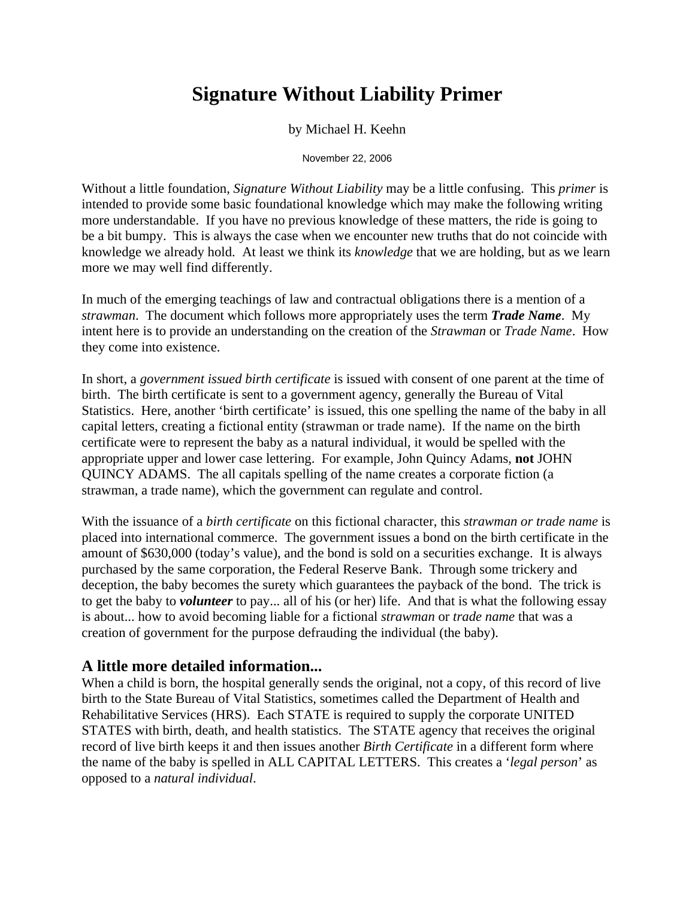### **Signature Without Liability Primer**

by Michael H. Keehn

November 22, 2006

Without a little foundation, *Signature Without Liability* may be a little confusing. This *primer* is intended to provide some basic foundational knowledge which may make the following writing more understandable. If you have no previous knowledge of these matters, the ride is going to be a bit bumpy. This is always the case when we encounter new truths that do not coincide with knowledge we already hold. At least we think its *knowledge* that we are holding, but as we learn more we may well find differently.

In much of the emerging teachings of law and contractual obligations there is a mention of a *strawman*. The document which follows more appropriately uses the term *Trade Name*. My intent here is to provide an understanding on the creation of the *Strawman* or *Trade Name*. How they come into existence.

In short, a *government issued birth certificate* is issued with consent of one parent at the time of birth. The birth certificate is sent to a government agency, generally the Bureau of Vital Statistics. Here, another 'birth certificate' is issued, this one spelling the name of the baby in all capital letters, creating a fictional entity (strawman or trade name). If the name on the birth certificate were to represent the baby as a natural individual, it would be spelled with the appropriate upper and lower case lettering. For example, John Quincy Adams, **not** JOHN QUINCY ADAMS. The all capitals spelling of the name creates a corporate fiction (a strawman, a trade name), which the government can regulate and control.

With the issuance of a *birth certificate* on this fictional character, this *strawman or trade name* is placed into international commerce. The government issues a bond on the birth certificate in the amount of \$630,000 (today's value), and the bond is sold on a securities exchange. It is always purchased by the same corporation, the Federal Reserve Bank. Through some trickery and deception, the baby becomes the surety which guarantees the payback of the bond. The trick is to get the baby to *volunteer* to pay... all of his (or her) life. And that is what the following essay is about... how to avoid becoming liable for a fictional *strawman* or *trade name* that was a creation of government for the purpose defrauding the individual (the baby).

### **A little more detailed information...**

When a child is born, the hospital generally sends the original, not a copy, of this record of live birth to the State Bureau of Vital Statistics, sometimes called the Department of Health and Rehabilitative Services (HRS). Each STATE is required to supply the corporate UNITED STATES with birth, death, and health statistics. The STATE agency that receives the original record of live birth keeps it and then issues another *Birth Certificate* in a different form where the name of the baby is spelled in ALL CAPITAL LETTERS. This creates a '*legal person*' as opposed to a *natural individual*.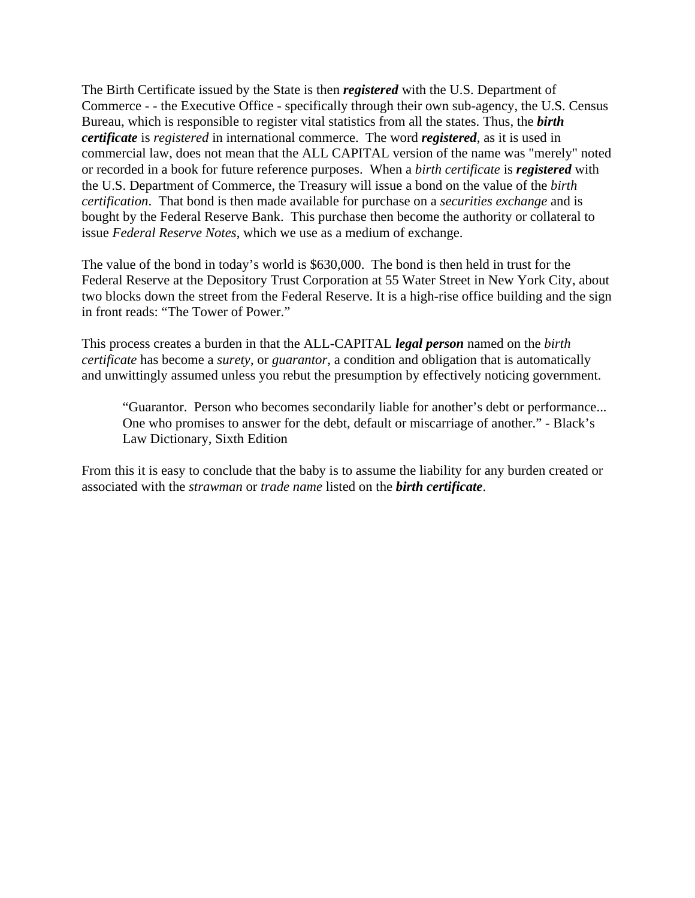The Birth Certificate issued by the State is then *registered* with the U.S. Department of Commerce - - the Executive Office - specifically through their own sub-agency, the U.S. Census Bureau, which is responsible to register vital statistics from all the states. Thus, the *birth certificate* is *registered* in international commerce. The word *registered*, as it is used in commercial law, does not mean that the ALL CAPITAL version of the name was "merely" noted or recorded in a book for future reference purposes. When a *birth certificate* is *registered* with the U.S. Department of Commerce, the Treasury will issue a bond on the value of the *birth certification*. That bond is then made available for purchase on a *securities exchange* and is bought by the Federal Reserve Bank. This purchase then become the authority or collateral to issue *Federal Reserve Notes*, which we use as a medium of exchange.

The value of the bond in today's world is \$630,000. The bond is then held in trust for the Federal Reserve at the Depository Trust Corporation at 55 Water Street in New York City, about two blocks down the street from the Federal Reserve. It is a high-rise office building and the sign in front reads: "The Tower of Power."

This process creates a burden in that the ALL-CAPITAL *legal person* named on the *birth certificate* has become a *surety*, or *guarantor*, a condition and obligation that is automatically and unwittingly assumed unless you rebut the presumption by effectively noticing government.

"Guarantor. Person who becomes secondarily liable for another's debt or performance... One who promises to answer for the debt, default or miscarriage of another." - Black's Law Dictionary, Sixth Edition

From this it is easy to conclude that the baby is to assume the liability for any burden created or associated with the *strawman* or *trade name* listed on the *birth certificate*.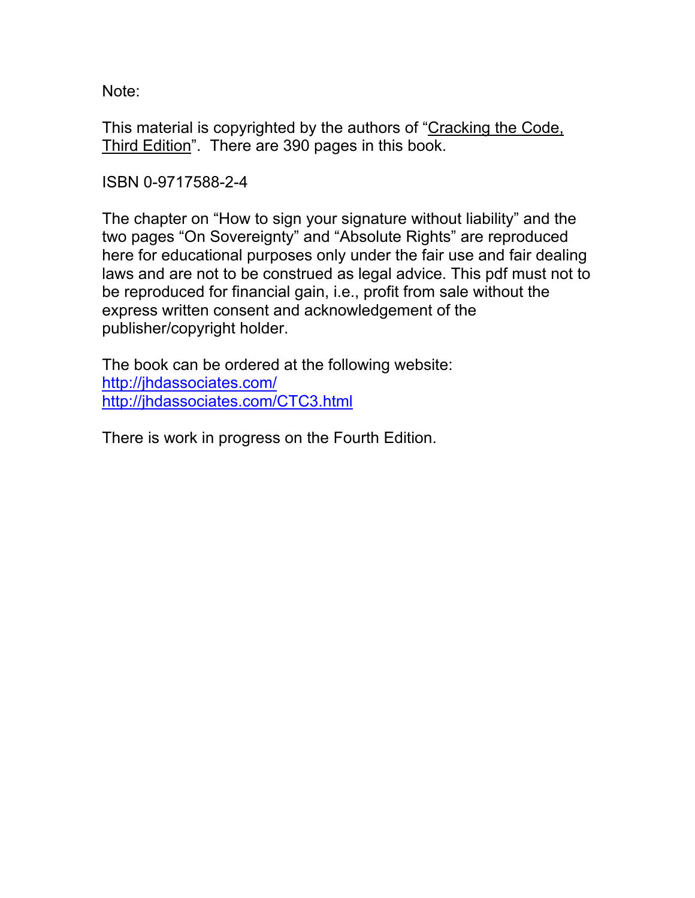Note:

This material is copyrighted by the authors of "Cracking the Code, Third Edition". There are 390 pages in this book.

ISBN 0-9717588-2-4

The chapter on "How to sign your signature without liability" and the two pages "On Sovereignty" and "Absolute Rights" are reproduced here for educational purposes only under the fair use and fair dealing laws and are not to be construed as legal advice. This pdf must not to be reproduced for financial gain, i.e., profit from sale without the express written consent and acknowledgement of the publisher/copyright holder.

The book can be ordered at the following website: http://jhdassociates.com/ http://jhdassociates.com/CTC3.html

There is work in progress on the Fourth Edition.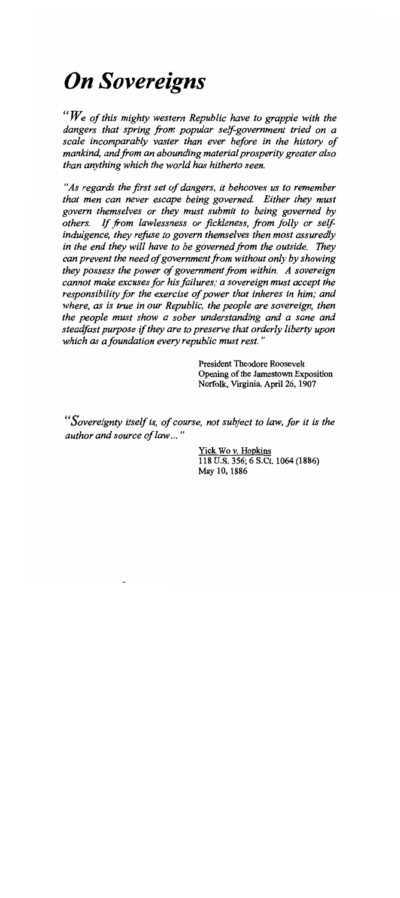## **On Sovereigns**

"We of this mighty western Republic have to grapple with the dangers that spring from popular self-government tried on a scale incomparably vaster than ever before in the history of mankind, and from an abounding material prosperity greater also than anything which the world has hitherto seen.

"As regards the first set of dangers, it behooves us to remember that men can never escape being governed. Either they must govern themselves or they must submit to being governed by others. If from lawlessness or fickleness, from folly or selfindulgence, they refuse to govern themselves then most assuredly in the end they will have to be governed from the outside. They can prevent the need of government from without only by showing they possess the power of government from within. A sovereign cannot make excuses for his failures; a sovereign must accept the responsibility for the exercise of power that inheres in him; and where, as is true in our Republic, the people are sovereign, then the people must show a sober understanding and a sane and steadfast purpose if they are to preserve that orderly liberty upon which as a foundation every republic must rest."

> **President Theodore Roosevelt** Opening of the Jamestown Exposition Norfolk, Virginia, April 26, 1907

'Sovereignty itself is, of course, not subject to law, for it is the author and source of law..."

> Yick Wo v. Hopkins 118 U.S. 356; 6 S.Ct. 1064 (1886) May 10, 1886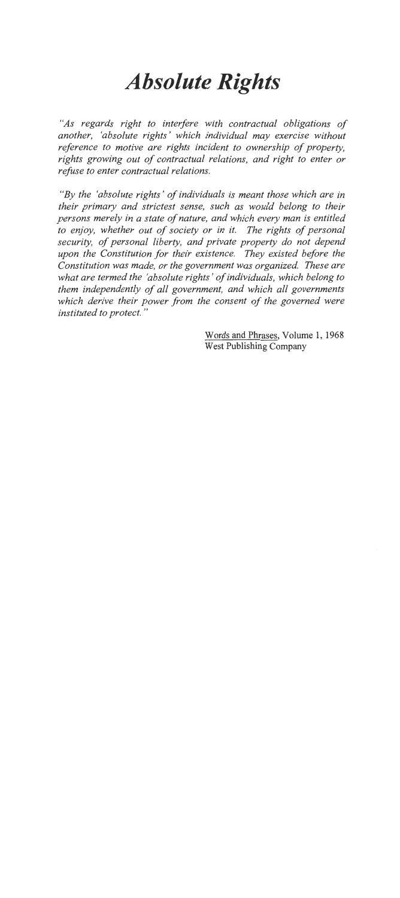# **Absolute Rights**

"As regards right to interfere with contractual obligations of another, 'absolute rights' which individual may exercise without reference to motive are rights incident to ownership of property. rights growing out of contractual relations, and right to enter or refuse to enter contractual relations.

"By the 'absolute rights' of individuals is meant those which are in their primary and strictest sense, such as would belong to their persons merely in a state of nature, and which every man is entitled to enjoy, whether out of society or in it. The rights of personal security, of personal liberty, and private property do not depend upon the Constitution for their existence. They existed before the Constitution was made, or the government was organized. These are what are termed the 'absolute rights' of individuals, which belong to them independently of all government, and which all governments which derive their power from the consent of the governed were instituted to protect."

> Words and Phrases, Volume 1, 1968 **West Publishing Company**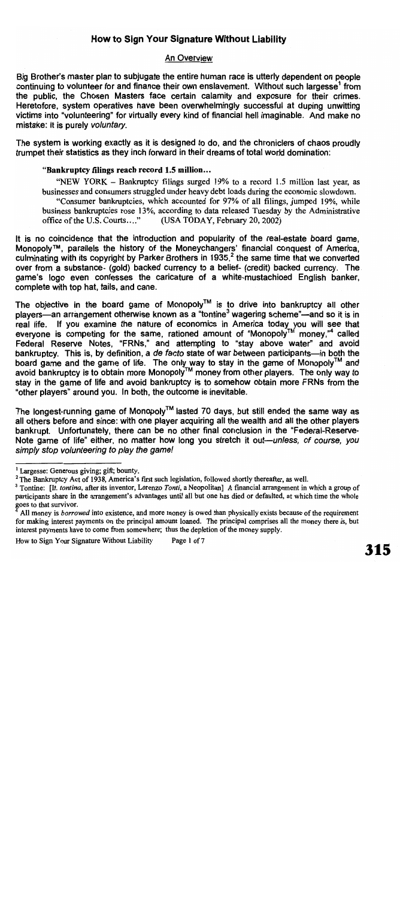#### **An Overview**

Big Brother's master plan to subjugate the entire human race is utterly dependent on people continuing to volunteer for and finance their own enslavement. Without such largesse<sup>1</sup> from the public, the Chosen Masters face certain calamity and exposure for their crimes. Heretofore, system operatives have been overwhelmingly successful at duping unwitting victims into "volunteering" for virtually every kind of financial hell imaginable. And make no mistake: it is purely voluntary.

The system is working exactly as it is designed to do, and the chroniclers of chaos proudly trumpet their statistics as they inch forward in their dreams of total world domination:

#### "Bankruptcy filings reach record 1.5 million...

"NEW YORK – Bankruptcy filings surged 19% to a record 1.5 million last year, as businesses and consumers struggled under heavy debt loads during the economic slowdown. "Consumer bankruptcies, which accounted for 97% of all filings, jumped 19%, while business bankruptcies rose 13%, according to data released Tuesday by the Administrative office of the U.S. Courts...." (USA TODAY, February 20, 2002)

It is no coincidence that the introduction and popularity of the real-estate board game, Monopoly™, parallels the history of the Moneychangers' financial conquest of America. culminating with its copyright by Parker Brothers in 1935,<sup>2</sup> the same time that we converted over from a substance- (gold) backed currency to a belief- (credit) backed currency. The game's logo even confesses the caricature of a white-mustachioed English banker, complete with top hat, tails, and cane.

The objective in the board game of Monopoly™ is to drive into bankruptcy all other players—an arrangement otherwise known as a "tontine<sup>3</sup> wagering scheme"—and so it is in real life. If you examine the nature of economics in America today you will see that everyone is competing for the same, rationed amount of "Monopoly<sup>TM</sup> money,"<sup>4</sup> called Federal Reserve Notes, "FRNs," and attempting to "stay above water" and avoid bankruptcy. This is, by definition, a de facto state of war between participants—in both the board game and the game of life. The only way to stay in the game of Monopoly<sup>TM</sup> and  $\frac{3}{4}$  avoid bankruptcy is to obtain more Monopoly<sup>TM</sup> money from other players. The only way to stay in the game of life and avoid bankruptcy is to somehow obtain more FRNs from the "other players" around you. In both, the outcome is inevitable.

The longest-running game of Monopoly™ lasted 70 days, but still ended the same way as all others before and since: with one player acquiring all the wealth and all the other players bankrupt. Unfortunately, there can be no other final conclusion in the "Federal-Reserve-Note game of life" either, no matter how long you stretch it out—unless, of course, you simply stop volunteering to play the game!

How to Sign Your Signature Without Liability Page 1 of 7

<sup>&</sup>lt;sup>1</sup> Largesse: Generous giving; gift; bounty.

<sup>&</sup>lt;sup>2</sup> The Bankruptcy Act of 1938, America's first such legislation, followed shortly thereafter, as well.

<sup>&</sup>lt;sup>3</sup> Tontine: [It. *tontina*, after its inventor, Lorenzo Tonti, a Neopolitan] A financial arrangement in which a group of participants share in the arrangement's advantages until all but one has died or defaulted, at which time the whole goes to that survivor.

All money is *borrowed* into existence, and more money is owed than physically exists because of the requirement for making interest payments on the principal amount loaned. The principal comprises all the money there is, but interest payments have to come from somewhere; thus the depletion of the money supply.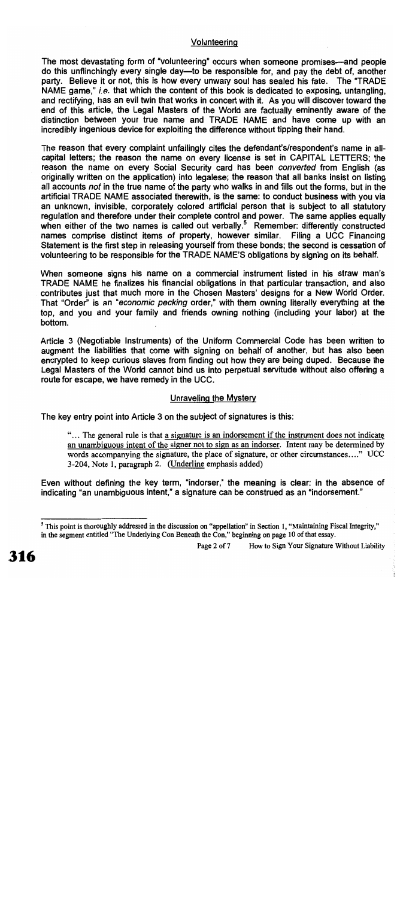#### Volunteering

The most devastating form of "volunteering" occurs when someone promises—and people do this unflinchingly every single day—to be responsible for, and pay the debt of, another party. Believe it or not, this is how every unwary soul has sealed his fate. The "TRADE NAME game," *i.e.* that which the content of this book is dedicated to exposing, untangling, and rectifying, has an evil twin that works in concert with it. As you will discover toward the end of this article, the Legal Masters of the World are factually eminently aware of the distinction between your true name and TRADE NAME and have come up with an incredibly ingenious device for exploiting the difference without tipping their hand.

The reason that every complaint unfailingly cites the defendant's/respondent's name in allcapital letters; the reason the name on every license is set in CAPITAL LETTERS; the reason the name on every Social Security card has been converted from English (as originally written on the application) into legalese; the reason that all banks insist on listing all accounts not in the true name of the party who walks in and fills out the forms, but in the artificial TRADE NAME associated therewith, is the same: to conduct business with you via an unknown, invisible, corporately colored artificial person that is subject to all statutory requiation and therefore under their complete control and power. The same applies equally when either of the two names is called out verbally.<sup>5</sup> Remember: differently constructed names comprise distinct items of property, however similar. Filing a UCC Financing Statement is the first step in releasing yourself from these bonds; the second is cessation of volunteering to be responsible for the TRADE NAME'S obligations by signing on its behalf.

When someone signs his name on a commercial instrument listed in his straw man's TRADE NAME he finalizes his financial obligations in that particular transaction, and also contributes just that much more in the Chosen Masters' designs for a New World Order. That "Order" is an "economic pecking order," with them owning literally everything at the top, and you and your family and friends owning nothing (including your labor) at the bottom.

Article 3 (Negotiable Instruments) of the Uniform Commercial Code has been written to augment the liabilities that come with signing on behalf of another, but has also been encrypted to keep curious slaves from finding out how they are being duped. Because the Legal Masters of the World cannot bind us into perpetual servitude without also offering a route for escape, we have remedy in the UCC.

#### Unraveling the Mystery

The key entry point into Article 3 on the subject of signatures is this:

"... The general rule is that a signature is an indorsement if the instrument does not indicate an unambiguous intent of the signer not to sign as an indorser. Intent may be determined by words accompanying the signature, the place of signature, or other circumstances...." UCC 3-204, Note 1, paragraph 2. (Underline emphasis added)

Even without defining the key term, "indorser," the meaning is clear: in the absence of indicating "an unambiguous intent," a signature can be construed as an "indorsement."

<sup>&</sup>lt;sup>5</sup> This point is thoroughly addressed in the discussion on "appellation" in Section 1, "Maintaining Fiscal Integrity," in the segment entitled "The Underlying Con Beneath the Con," beginning on page 10 of that essay.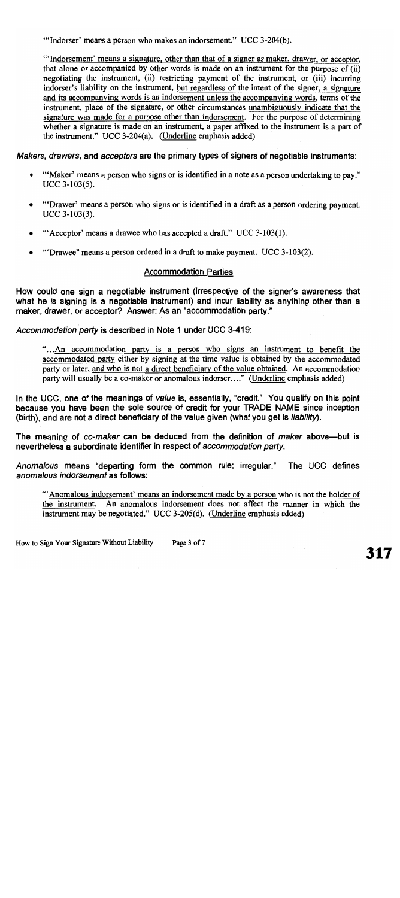"Indorser' means a person who makes an indorsement." UCC 3-204(b).

"Indorsement' means a signature, other than that of a signer as maker, drawer, or acceptor, that alone or accompanied by other words is made on an instrument for the purpose of (ii) negotiating the instrument, (ii) restricting payment of the instrument, or (iii) incurring indorser's liability on the instrument, but regardless of the intent of the signer, a signature and its accompanying words is an indorsement unless the accompanying words, terms of the instrument, place of the signature, or other circumstances unambiguously indicate that the signature was made for a purpose other than indorsement. For the purpose of determining whether a signature is made on an instrument, a paper affixed to the instrument is a part of the instrument." UCC 3-204(a). (Underline emphasis added)

Makers, drawers, and acceptors are the primary types of signers of negotiable instruments:

- "'Maker' means a person who signs or is identified in a note as a person undertaking to pay."  $\bullet$  $UCC$  3-103(5).
- "Drawer' means a person who signs or is identified in a draft as a person ordering payment.  $\bullet$  $UCC$  3-103(3).
- "'Acceptor' means a drawee who has accepted a draft." UCC 3-103(1).  $\bullet$
- "Drawee" means a person ordered in a draft to make payment. UCC 3-103(2).  $\bullet$

#### **Accommodation Parties**

How could one sign a negotiable instrument (irrespective of the signer's awareness that what he is signing is a negotiable instrument) and incur liability as anything other than a maker, drawer, or acceptor? Answer: As an "accommodation party."

Accommodation party is described in Note 1 under UCC 3-419:

"...An accommodation party is a person who signs an instrument to benefit the accommodated party either by signing at the time value is obtained by the accommodated party or later, and who is not a direct beneficiary of the value obtained. An accommodation party will usually be a co-maker or anomalous indorser...." (Underline emphasis added)

In the UCC, one of the meanings of value is, essentially, "credit." You qualify on this point because you have been the sole source of credit for your TRADE NAME since inception (birth), and are not a direct beneficiary of the value given (what you get is liability).

The meaning of co-maker can be deduced from the definition of maker above—but is nevertheless a subordinate identifier in respect of accommodation party.

Anomalous means "departing form the common rule; irregular." The UCC defines anomalous indorsement as follows:

"Anomalous indorsement' means an indorsement made by a person who is not the holder of the instrument. An anomalous indorsement does not affect the manner in which the instrument may be negotiated." UCC 3-205(d). (Underline emphasis added)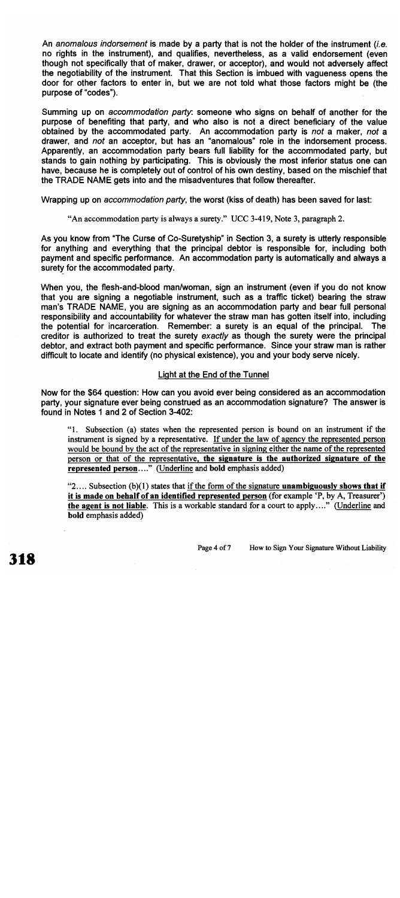An anomalous indorsement is made by a party that is not the holder of the instrument (i.e. no rights in the instrument), and qualifies, nevertheless, as a valid endorsement (even though not specifically that of maker, drawer, or acceptor), and would not adversely affect the negotiability of the instrument. That this Section is imbued with vagueness opens the door for other factors to enter in, but we are not told what those factors might be (the purpose of "codes").

Summing up on *accommodation party*: someone who signs on behalf of another for the purpose of benefiting that party, and who also is not a direct beneficiary of the value obtained by the accommodated party. An accommodation party is not a maker, not a drawer, and not an acceptor, but has an "anomalous" role in the indorsement process. Apparently, an accommodation party bears full liability for the accommodated party, but stands to gain nothing by participating. This is obviously the most inferior status one can have, because he is completely out of control of his own destiny, based on the mischief that the TRADE NAME gets into and the misadventures that follow thereafter.

Wrapping up on accommodation party, the worst (kiss of death) has been saved for last:

"An accommodation party is always a surety." UCC 3-419, Note 3, paragraph 2.

As you know from "The Curse of Co-Suretyship" in Section 3, a surety is utterly responsible for anything and everything that the principal debtor is responsible for, including both payment and specific performance. An accommodation party is automatically and always a surety for the accommodated party.

When you, the flesh-and-blood man/woman, sign an instrument (even if you do not know that you are signing a negotiable instrument, such as a traffic ticket) bearing the straw man's TRADE NAME, you are signing as an accommodation party and bear full personal responsibility and accountability for whatever the straw man has gotten itself into, including the potential for incarceration. Remember: a surety is an equal of the principal. **The** creditor is authorized to treat the surety exactly as though the surety were the principal debtor, and extract both payment and specific performance. Since your straw man is rather difficult to locate and identify (no physical existence), you and your body serve nicely.

#### Light at the End of the Tunnel

Now for the \$64 question: How can you avoid ever being considered as an accommodation party, your signature ever being construed as an accommodation signature? The answer is found in Notes 1 and 2 of Section 3-402:

"1. Subsection (a) states when the represented person is bound on an instrument if the instrument is signed by a representative. If under the law of agency the represented person would be bound by the act of the representative in signing either the name of the represented person or that of the representative, the signature is the authorized signature of the represented person...." (Underline and bold emphasis added)

" $2...$  Subsection (b)(1) states that if the form of the signature **unambiguously shows that if** it is made on behalf of an identified represented person (for example 'P, by A, Treasurer') the agent is not liable. This is a workable standard for a court to apply...." (Underline and bold emphasis added)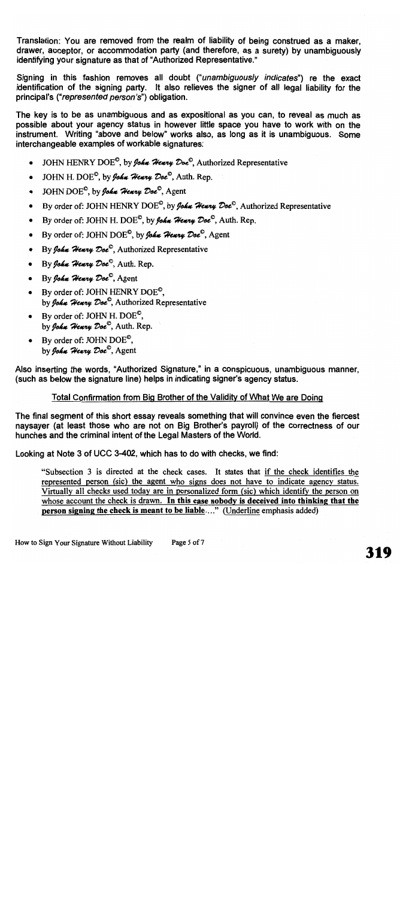Translation: You are removed from the realm of liability of being construed as a maker. drawer, acceptor, or accommodation party (and therefore, as a surety) by unambiquously identifying your signature as that of "Authorized Representative."

Signing in this fashion removes all doubt ("unambiguously indicates") re the exact identification of the signing party. It also relieves the signer of all legal liability for the principal's ("represented person's") obligation.

The key is to be as unambiguous and as expositional as you can, to reveal as much as possible about your agency status in however little space you have to work with on the instrument. Writing "above and below" works also, as long as it is unambiquous. Some interchangeable examples of workable signatures:

- JOHN HENRY DOE<sup>©</sup>, by *John Henry Doe*<sup>©</sup>, Authorized Representative  $\bullet$
- JOHN H. DOE<sup>O</sup>, by *John Henry Doe*<sup>O</sup>, Auth. Rep.  $\bullet$
- JOHN DOE<sup>O</sup>, by John Henry Doe<sup>O</sup>, Agent  $\bullet$
- By order of: JOHN HENRY DOE<sup>°</sup>, by *John Henry Doe*<sup>°</sup>, Authorized Representative  $\bullet$
- By order of: JOHN H. DOE<sup>O</sup>, by *John Henry Doe*<sup>O</sup>, Auth. Rep.  $\bullet$
- By order of: JOHN DOE<sup>o</sup>, by *John Henry Doe*<sup>o</sup>, Agent  $\bullet$
- By John Henry Doe<sup>o</sup>, Authorized Representative  $\bullet$
- By John Henry Doe<sup>O</sup>, Auth. Rep.
- · By John Henry Doe<sup>O</sup>, Agent
- By order of: JOHN HENRY DOE<sup> $\degree$ </sup>. by John Henry Doe<sup>®</sup>, Authorized Representative
- By order of: JOHN H. DOE<sup> $\degree$ </sup>. by John Henry Doe<sup>O</sup>, Auth. Rep.
- By order of: JOHN  $DOE^{\mathcal{O}}$ . by John Henry Doe<sup>o</sup>, Agent

Also inserting the words, "Authorized Signature," in a conspicuous, unambiguous manner, (such as below the signature line) helps in indicating signer's agency status.

#### Total Confirmation from Big Brother of the Validity of What We are Doing

The final segment of this short essay reveals something that will convince even the fiercest naysaver (at least those who are not on Big Brother's payroll) of the correctness of our hunches and the criminal intent of the Legal Masters of the World.

Looking at Note 3 of UCC 3-402, which has to do with checks, we find:

"Subsection 3 is directed at the check cases. It states that if the check identifies the represented person (sic) the agent who signs does not have to indicate agency status. Virtually all checks used today are in personalized form (sic) which identify the person on whose account the check is drawn. In this case nobody is deceived into thinking that the person signing the check is meant to be liable...." (Underline emphasis added)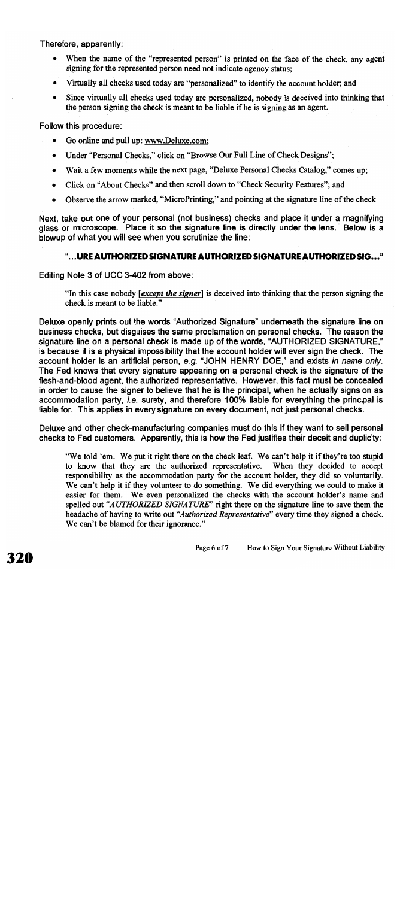#### Therefore, apparently:

- When the name of the "represented person" is printed on the face of the check, any agent signing for the represented person need not indicate agency status;
- Virtually all checks used today are "personalized" to identify the account holder; and
- Since virtually all checks used today are personalized, nobody is deceived into thinking that  $\bullet$ the person signing the check is meant to be liable if he is signing as an agent.

Follow this procedure:

- Go online and pull up: www.Deluxe.com;
- Under "Personal Checks," click on "Browse Our Full Line of Check Designs";  $\bullet$
- Wait a few moments while the next page, "Deluxe Personal Checks Catalog," comes up;  $\bullet$
- Click on "About Checks" and then scroll down to "Check Security Features"; and  $\bullet$
- Observe the arrow marked, "MicroPrinting," and pointing at the signature line of the check

Next, take out one of your personal (not business) checks and place it under a magnifying glass or microscope. Place it so the signature line is directly under the lens. Below is a blowup of what you will see when you scrutinize the line:

#### "...URE AUTHORIZED SIGNATURE AUTHORIZED SIGNATURE AUTHORIZED SIG..."

Editing Note 3 of UCC 3-402 from above:

"In this case nobody [except the signer] is deceived into thinking that the person signing the check is meant to be liable."

Deluxe openly prints out the words "Authorized Signature" underneath the signature line on business checks, but disguises the same proclamation on personal checks. The reason the signature line on a personal check is made up of the words, "AUTHORIZED SIGNATURE," is because it is a physical impossibility that the account holder will ever sign the check. The account holder is an artificial person, e.g. "JOHN HENRY DOE," and exists in name only. The Fed knows that every signature appearing on a personal check is the signature of the flesh-and-blood agent, the authorized representative. However, this fact must be concealed in order to cause the signer to believe that he is the principal, when he actually signs on as accommodation party, i.e. surety, and therefore 100% liable for everything the principal is liable for. This applies in every signature on every document, not just personal checks.

Deluxe and other check-manufacturing companies must do this if they want to sell personal checks to Fed customers. Apparently, this is how the Fed justifies their deceit and duplicity:

"We told 'em. We put it right there on the check leaf. We can't help it if they're too stupid to know that they are the authorized representative. When they decided to accept responsibility as the accommodation party for the account holder, they did so voluntarily. We can't help it if they volunteer to do something. We did everything we could to make it easier for them. We even personalized the checks with the account holder's name and spelled out "AUTHORIZED SIGNATURE" right there on the signature line to save them the headache of having to write out "Authorized Representative" every time they signed a check. We can't be blamed for their ignorance."